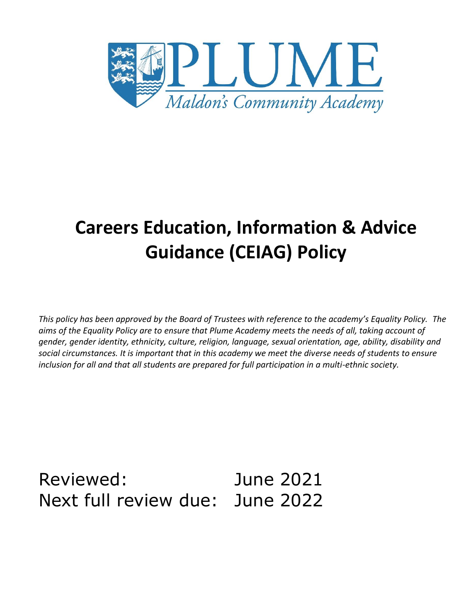

# **Careers Education, Information & Advice Guidance (CEIAG) Policy**

*This policy has been approved by the Board of Trustees with reference to the academy's Equality Policy. The aims of the Equality Policy are to ensure that Plume Academy meets the needs of all, taking account of gender, gender identity, ethnicity, culture, religion, language, sexual orientation, age, ability, disability and social circumstances. It is important that in this academy we meet the diverse needs of students to ensure inclusion for all and that all students are prepared for full participation in a multi-ethnic society.*

Reviewed: June 2021 Next full review due: June 2022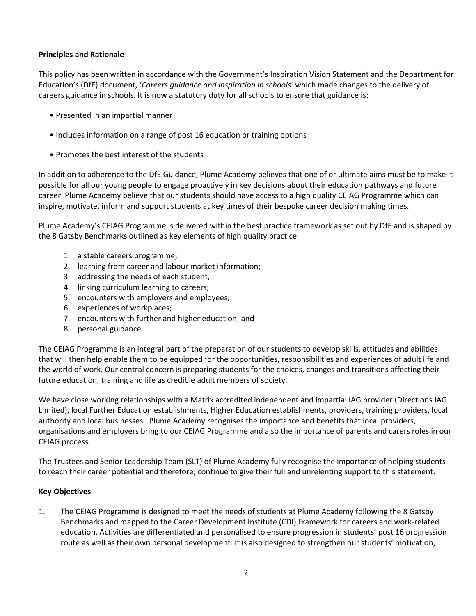## **Principles and Rationale**

This policy has been written in accordance with the Government's Inspiration Vision Statement and the Department for Education's (DfE) document, '*Careers guidance and inspiration in schools'* which made changes to the delivery of careers guidance in schools. It is now a statutory duty for all schools to ensure that guidance is:

- Presented in an impartial manner
- Includes information on a range of post 16 education or training options
- Promotes the best interest of the students

In addition to adherence to the DfE Guidance, Plume Academy believes that one of or ultimate aims must be to make it possible for all our young people to engage proactively in key decisions about their education pathways and future career. Plume Academy believe that our students should have access to a high quality CEIAG Programme which can inspire, motivate, inform and support students at key times of their bespoke career decision making times.

Plume Academy's CEIAG Programme is delivered within the best practice framework as set out by DfE and is shaped by the 8 Gatsby Benchmarks outlined as key elements of high quality practice:

- 1. a stable careers programme;
- 2. learning from career and labour market information;
- 3. addressing the needs of each student;
- 4. linking curriculum learning to careers;
- 5. encounters with employers and employees;
- 6. experiences of workplaces;
- 7. encounters with further and higher education; and
- 8. personal guidance.

The CEIAG Programme is an integral part of the preparation of our students to develop skills, attitudes and abilities that will then help enable them to be equipped for the opportunities, responsibilities and experiences of adult life and the world of work. Our central concern is preparing students for the choices, changes and transitions affecting their future education, training and life as credible adult members of society.

We have close working relationships with a Matrix accredited independent and impartial IAG provider (Directions IAG Limited), local Further Education establishments, Higher Education establishments, providers, training providers, local authority and local businesses. Plume Academy recognises the importance and benefits that local providers, organisations and employers bring to our CEIAG Programme and also the importance of parents and carers roles in our CEIAG process.

The Trustees and Senior Leadership Team (SLT) of Plume Academy fully recognise the importance of helping students to reach their career potential and therefore, continue to give their full and unrelenting support to this statement.

#### **Key Objectives**

1. The CEIAG Programme is designed to meet the needs of students at Plume Academy following the 8 Gatsby Benchmarks and mapped to the Career Development Institute (CDI) Framework for careers and work-related education. Activities are differentiated and personalised to ensure progression in students' post 16 progression route as well as their own personal development. It is also designed to strengthen our students' motivation,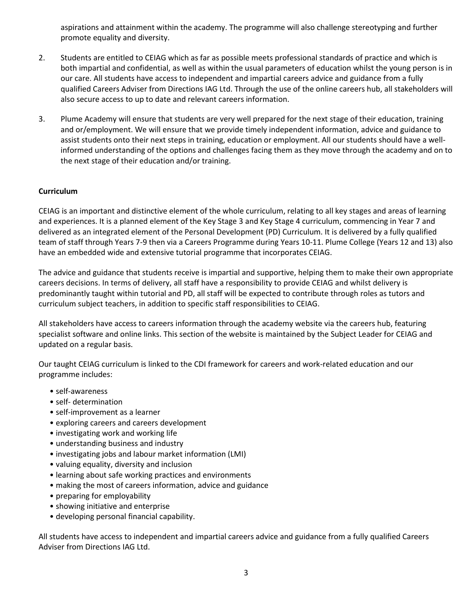aspirations and attainment within the academy. The programme will also challenge stereotyping and further promote equality and diversity.

- 2. Students are entitled to CEIAG which as far as possible meets professional standards of practice and which is both impartial and confidential, as well as within the usual parameters of education whilst the young person is in our care. All students have access to independent and impartial careers advice and guidance from a fully qualified Careers Adviser from Directions IAG Ltd. Through the use of the online careers hub, all stakeholders will also secure access to up to date and relevant careers information.
- 3. Plume Academy will ensure that students are very well prepared for the next stage of their education, training and or/employment. We will ensure that we provide timely independent information, advice and guidance to assist students onto their next steps in training, education or employment. All our students should have a wellinformed understanding of the options and challenges facing them as they move through the academy and on to the next stage of their education and/or training.

# **Curriculum**

CEIAG is an important and distinctive element of the whole curriculum, relating to all key stages and areas of learning and experiences. It is a planned element of the Key Stage 3 and Key Stage 4 curriculum, commencing in Year 7 and delivered as an integrated element of the Personal Development (PD) Curriculum. It is delivered by a fully qualified team of staff through Years 7‐9 then via a Careers Programme during Years 10‐11. Plume College (Years 12 and 13) also have an embedded wide and extensive tutorial programme that incorporates CEIAG.

The advice and guidance that students receive is impartial and supportive, helping them to make their own appropriate careers decisions. In terms of delivery, all staff have a responsibility to provide CEIAG and whilst delivery is predominantly taught within tutorial and PD, all staff will be expected to contribute through roles as tutors and curriculum subject teachers, in addition to specific staff responsibilities to CEIAG.

All stakeholders have access to careers information through the academy website via the careers hub, featuring specialist software and online links. This section of the website is maintained by the Subject Leader for CEIAG and updated on a regular basis.

Our taught CEIAG curriculum is linked to the CDI framework for careers and work-related education and our programme includes:

- self-awareness
- self- determination
- self-improvement as a learner
- exploring careers and careers development
- investigating work and working life
- understanding business and industry
- investigating jobs and labour market information (LMI)
- valuing equality, diversity and inclusion
- learning about safe working practices and environments
- making the most of careers information, advice and guidance
- preparing for employability
- showing initiative and enterprise
- developing personal financial capability.

All students have access to independent and impartial careers advice and guidance from a fully qualified Careers Adviser from Directions IAG Ltd.